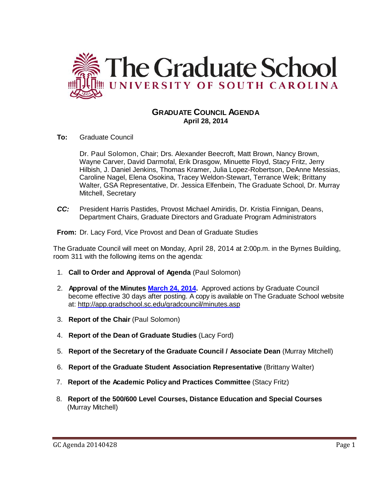

# **GRADUATE COUNCIL AGENDA April 28, 2014**

**To:** Graduate Council

Dr. Paul Solomon, Chair; Drs. Alexander Beecroft, Matt Brown, Nancy Brown, Wayne Carver, David Darmofal, Erik Drasgow, Minuette Floyd, Stacy Fritz, Jerry Hilbish, J. Daniel Jenkins, Thomas Kramer, Julia Lopez-Robertson, DeAnne Messias, Caroline Nagel, Elena Osokina, Tracey Weldon-Stewart, Terrance Weik; Brittany Walter, GSA Representative, Dr. Jessica Elfenbein, The Graduate School, Dr. Murray Mitchell, Secretary

*CC:* President Harris Pastides, Provost Michael Amiridis, Dr. Kristia Finnigan, Deans, Department Chairs, Graduate Directors and Graduate Program Administrators

**From:** Dr. Lacy Ford, Vice Provost and Dean of Graduate Studies

The Graduate Council will meet on Monday, April 28, 2014 at 2:00p.m. in the Byrnes Building, room 311 with the following items on the agenda:

- 1. **Call to Order and Approval of Agenda** (Paul Solomon)
- 2. **Approval of the Minutes [March 24, 2014.](http://gradschool.sc.edu/facstaff/gradcouncil/2013/GC%20Minutes%203%2024%2014%20MM.pdf)** Approved actions by Graduate Council become effective 30 days after posting. A copy is available on The Graduate School website at:<http://app.gradschool.sc.edu/gradcouncil/minutes.asp>
- 3. **Report of the Chair** (Paul Solomon)
- 4. **Report of the Dean of Graduate Studies** (Lacy Ford)
- 5. **Report of the Secretary of the Graduate Council / Associate Dean** (Murray Mitchell)
- 6. **Report of the Graduate Student Association Representative** (Brittany Walter)
- 7. **Report of the Academic Policy and Practices Committee** (Stacy Fritz)
- 8. **Report of the 500/600 Level Courses, Distance Education and Special Courses** (Murray Mitchell)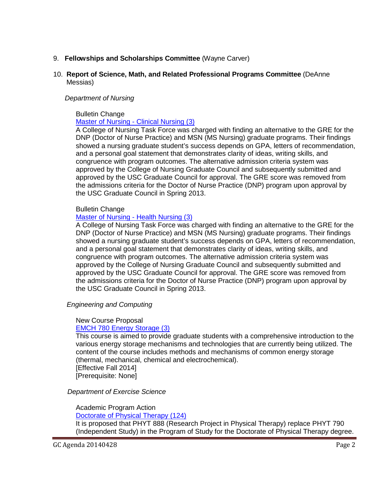# 9. **Fellowships and Scholarships Committee** (Wayne Carver)

### 10. **Report of Science, Math, and Related Professional Programs Committee** (DeAnne Messias)

#### *Department of Nursing*

# Bulletin Change

# [Master of Nursing -](http://gradschool.sc.edu/facstaff/gradcouncil/2013/Master%20of%20Nursing-Clinical%20BCH_Redacted.pdf) Clinical Nursing (3)

A College of Nursing Task Force was charged with finding an alternative to the GRE for the DNP (Doctor of Nurse Practice) and MSN (MS Nursing) graduate programs. Their findings showed a nursing graduate student's success depends on GPA, letters of recommendation, and a personal goal statement that demonstrates clarity of ideas, writing skills, and congruence with program outcomes. The alternative admission criteria system was approved by the College of Nursing Graduate Council and subsequently submitted and approved by the USC Graduate Council for approval. The GRE score was removed from the admissions criteria for the Doctor of Nurse Practice (DNP) program upon approval by the USC Graduate Council in Spring 2013.

#### Bulletin Change

# [Master of Nursing -](http://gradschool.sc.edu/facstaff/gradcouncil/2013/Master%20of%20Nursing-Health%20BCH_Redacted.pdf) Health Nursing (3)

A College of Nursing Task Force was charged with finding an alternative to the GRE for the DNP (Doctor of Nurse Practice) and MSN (MS Nursing) graduate programs. Their findings showed a nursing graduate student's success depends on GPA, letters of recommendation, and a personal goal statement that demonstrates clarity of ideas, writing skills, and congruence with program outcomes. The alternative admission criteria system was approved by the College of Nursing Graduate Council and subsequently submitted and approved by the USC Graduate Council for approval. The GRE score was removed from the admissions criteria for the Doctor of Nurse Practice (DNP) program upon approval by the USC Graduate Council in Spring 2013.

 *Engineering and Computing*

#### New Course Proposal [EMCH 780 Energy Storage \(3\)](http://gradschool.sc.edu/facstaff/gradcouncil/2013/EMCH%20780%20NCP_Redacted.pdf)

# This course is aimed to provide graduate students with a comprehensive introduction to the various energy storage mechanisms and technologies that are currently being utilized. The content of the course includes methods and mechanisms of common energy storage (thermal, mechanical, chemical and electrochemical).

[Effective Fall 2014] [Prerequisite: None]

# *Department of Exercise Science*

# Academic Program Action

# [Doctorate of Physical Therapy \(124\)](http://gradschool.sc.edu/facstaff/gradcouncil/2013/APA%20EX%20SCI%20DPT_Redacted.pdf)

It is proposed that PHYT 888 (Research Project in Physical Therapy) replace PHYT 790 (Independent Study) in the Program of Study for the Doctorate of Physical Therapy degree.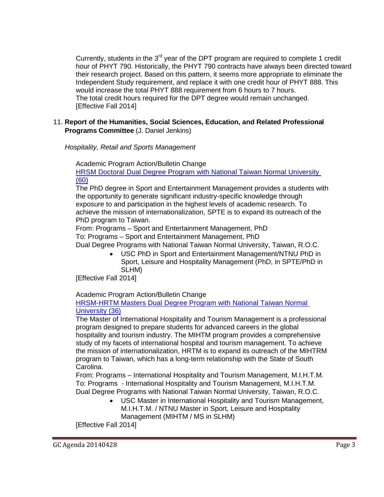Currently, students in the  $3<sup>rd</sup>$  year of the DPT program are required to complete 1 credit hour of PHYT 790. Historically, the PHYT 790 contracts have always been directed toward their research project. Based on this pattern, it seems more appropriate to eliminate the Independent Study requirement, and replace it with one credit hour of PHYT 888. This would increase the total PHYT 888 requirement from 6 hours to 7 hours. The total credit hours required for the DPT degree would remain unchanged. [Effective Fall 2014]

# 11. **Report of the Humanities, Social Sciences, Education, and Related Professional Programs Committee** (J. Daniel Jenkins)

*Hospitality, Retail and Sports Management*

Academic Program Action/Bulletin Change

[HRSM Doctoral Dual Degree Program with National Taiwan Normal University](http://gradschool.sc.edu/facstaff/gradcouncil/2013/HRSM%20APA%20JUS%20-%20SPTE%20PhD%20Dual%20Degree%20Program%20with%20Nat%20Taiwan%20Normal%20Univ%20REVISED%204-16_Redacted.pdf) (60)

The PhD degree in Sport and Entertainment Management provides a students with the opportunity to generate significant industry-specific knowledge through exposure to and participation in the highest levels of academic research. To achieve the mission of internationalization, SPTE is to expand its outreach of the PhD program to Taiwan.

From: Programs – Sport and Entertainment Management, PhD To: Programs – Sport and Entertainment Management, PhD

Dual Degree Programs with National Taiwan Normal University, Taiwan, R.O.C.

• USC PhD in Sport and Entertainment Management/NTNU PhD in Sport, Leisure and Hospitality Management (PhD, in SPTE/PhD in SLHM)

[Effective Fall 2014]

Academic Program Action/Bulletin Change

# [HRSM-HRTM Masters Dual Degree Program with National Taiwan Normal](http://gradschool.sc.edu/facstaff/gradcouncil/2013/HRSM-HRTM%20Masters%20Dual%20APA%20JUS%20-%20HRTM%20Masters%20Dual%20Degree%20Program%20with%20Nat%20Taiwan%20Normal%20Univ%20REVISED_Redacted.pdf)  [University](http://gradschool.sc.edu/facstaff/gradcouncil/2013/HRSM-HRTM%20Masters%20Dual%20APA%20JUS%20-%20HRTM%20Masters%20Dual%20Degree%20Program%20with%20Nat%20Taiwan%20Normal%20Univ%20REVISED_Redacted.pdf) (36)

The Master of International Hospitality and Tourism Management is a professional program designed to prepare students for advanced careers in the global hospitality and tourism industry. The MIHTM program provides a comprehensive study of my facets of international hospital and tourism management. To achieve the mission of internationalization, HRTM is to expand its outreach of the MIHTRM program to Taiwan, which has a long-term relationship with the State of South Carolina.

From: Programs – International Hospitality and Tourism Management, M.I.H.T.M. To: Programs - International Hospitality and Tourism Management, M.I.H.T.M. Dual Degree Programs with National Taiwan Normal University, Taiwan, R.O.C.

• USC Master in International Hospitality and Tourism Management, M.I.H.T.M. / NTNU Master in Sport, Leisure and Hospitality Management (MIHTM / MS in SLHM)

[Effective Fall 2014]

GC Agenda 20140428 Page 3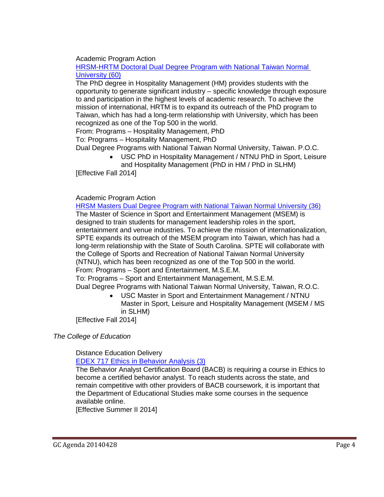Academic Program Action

[HRSM-HRTM Doctoral Dual Degree Program with National Taiwan Normal](http://gradschool.sc.edu/facstaff/gradcouncil/2013/HRSM-HRTM%20Doctoral%20Dual%20Degree%20Program%20w%20National%20TNU%20SEM%20revised_Redacted.pdf)  [University](http://gradschool.sc.edu/facstaff/gradcouncil/2013/HRSM-HRTM%20Doctoral%20Dual%20Degree%20Program%20w%20National%20TNU%20SEM%20revised_Redacted.pdf) (60)

The PhD degree in Hospitality Management (HM) provides students with the opportunity to generate significant industry – specific knowledge through exposure to and participation in the highest levels of academic research. To achieve the mission of international, HRTM is to expand its outreach of the PhD program to Taiwan, which has had a long-term relationship with University, which has been recognized as one of the Top 500 in the world.

From: Programs – Hospitality Management, PhD

To: Programs – Hospitality Management, PhD

Dual Degree Programs with National Taiwan Normal University, Taiwan. P.O.C.

• USC PhD in Hospitality Management / NTNU PhD in Sport, Leisure and Hospitality Management (PhD in HM / PhD in SLHM)

[Effective Fall 2014]

# Academic Program Action

[HRSM Masters Dual Degree Program with National Taiwan Normal University](http://gradschool.sc.edu/facstaff/gradcouncil/2013/HRSM%20Masters%20Dual%20APA%20JUS%20-%20SPTE%20Masters%20Dual%20Degree%20Program%20with%20Nat%20Taiwan%20Normal%20Univ%20REVISED_Redacted.pdf) (36) The Master of Science in Sport and Entertainment Management (MSEM) is designed to train students for management leadership roles in the sport, entertainment and venue industries. To achieve the mission of internationalization, SPTE expands its outreach of the MSEM program into Taiwan, which has had a long-term relationship with the State of South Carolina. SPTE will collaborate with the College of Sports and Recreation of National Taiwan Normal University (NTNU), which has been recognized as one of the Top 500 in the world. From: Programs – Sport and Entertainment, M.S.E.M.

To: Programs – Sport and Entertainment Management, M.S.E.M. Dual Degree Programs with National Taiwan Normal University, Taiwan, R.O.C.

• USC Master in Sport and Entertainment Management / NTNU Master in Sport, Leisure and Hospitality Management (MSEM / MS in SLHM)

[Effective Fall 2014]

*The College of Education*

# Distance Education Delivery

EDEX 717 [Ethics in Behavior Analysis](http://gradschool.sc.edu/facstaff/gradcouncil/2013/EDEX%20717%20DED_Redacted.pdf) (3)

The Behavior Analyst Certification Board (BACB) is requiring a course in Ethics to become a certified behavior analyst. To reach students across the state, and remain competitive with other providers of BACB coursework, it is important that the Department of Educational Studies make some courses in the sequence available online.

[Effective Summer II 2014]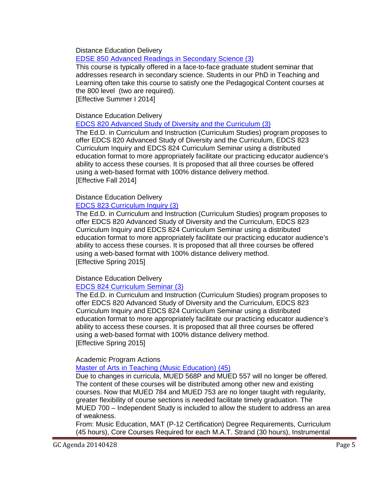Distance Education Delivery

[EDSE 850 Advanced Readings in Secondary Science](http://gradschool.sc.edu/facstaff/gradcouncil/2013/EDSE%20850%20DED_Redacted.pdf) (3)

This course is typically offered in a face-to-face graduate student seminar that addresses research in secondary science. Students in our PhD in Teaching and Learning often take this course to satisfy one the Pedagogical Content courses at the 800 level (two are required).

[Effective Summer I 2014]

# Distance Education Delivery

[EDCS 820 Advanced Study of Diversity and the Curriculum](http://gradschool.sc.edu/facstaff/gradcouncil/2013/EDCS%20820%20DED_Redacted.pdf) (3)

The Ed.D. in Curriculum and Instruction (Curriculum Studies) program proposes to offer EDCS 820 Advanced Study of Diversity and the Curriculum, EDCS 823 Curriculum Inquiry and EDCS 824 Curriculum Seminar using a distributed education format to more appropriately facilitate our practicing educator audience's ability to access these courses. It is proposed that all three courses be offered using a web-based format with 100% distance delivery method. [Effective Fall 2014]

# Distance Education Delivery

# [EDCS 823 Curriculum Inquiry](http://gradschool.sc.edu/facstaff/gradcouncil/2013/EDCS%20823%20DED_Redacted.pdf) (3)

The Ed.D. in Curriculum and Instruction (Curriculum Studies) program proposes to offer EDCS 820 Advanced Study of Diversity and the Curriculum, EDCS 823 Curriculum Inquiry and EDCS 824 Curriculum Seminar using a distributed education format to more appropriately facilitate our practicing educator audience's ability to access these courses. It is proposed that all three courses be offered using a web-based format with 100% distance delivery method. [Effective Spring 2015]

# Distance Education Delivery

# [EDCS 824 Curriculum Seminar](http://gradschool.sc.edu/facstaff/gradcouncil/2013/EDCS%20824%20DED_Redacted.pdf) (3)

The Ed.D. in Curriculum and Instruction (Curriculum Studies) program proposes to offer EDCS 820 Advanced Study of Diversity and the Curriculum, EDCS 823 Curriculum Inquiry and EDCS 824 Curriculum Seminar using a distributed education format to more appropriately facilitate our practicing educator audience's ability to access these courses. It is proposed that all three courses be offered using a web-based format with 100% distance delivery method. [Effective Spring 2015]

# Academic Program Actions

# [Master of Arts in Teaching \(Music Education\)](http://gradschool.sc.edu/facstaff/gradcouncil/2013/Master%20of%20Arts%20in%20Teaching%20(Music%20Education)%20APA_Redacted.pdf) (45)

Due to changes in curricula, MUED 568P and MUED 557 will no longer be offered. The content of these courses will be distributed among other new and existing courses. Now that MUED 784 and MUED 753 are no longer taught with regularity, greater flexibility of course sections is needed facilitate timely graduation. The MUED 700 – Independent Study is included to allow the student to address an area of weakness.

From: Music Education, MAT (P-12 Certification) Degree Requirements, Curriculum (45 hours), Core Courses Required for each M.A.T. Strand (30 hours), Instrumental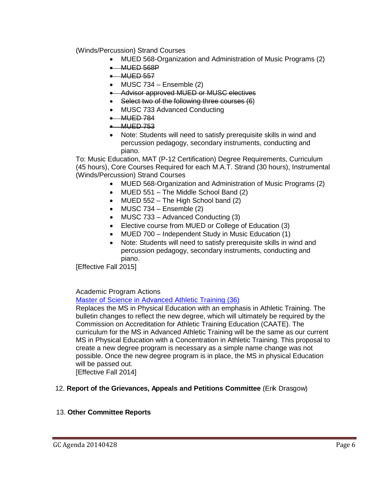(Winds/Percussion) Strand Courses

- MUED 568-Organization and Administration of Music Programs (2)
- MUED 568P
- MUED 557
- $\bullet$  MUSC 734 Ensemble (2)
- Advisor approved MUED or MUSC electives
- Select two of the following three courses (6)
- MUSC 733 Advanced Conducting
- MUED 784
- $\bullet$  MUED 753
- Note: Students will need to satisfy prerequisite skills in wind and percussion pedagogy, secondary instruments, conducting and piano.

To: Music Education, MAT (P-12 Certification) Degree Requirements, Curriculum (45 hours), Core Courses Required for each M.A.T. Strand (30 hours), Instrumental (Winds/Percussion) Strand Courses

- MUED 568-Organization and Administration of Music Programs (2)
- MUED 551 The Middle School Band (2)
- MUED 552 The High School band (2)
- MUSC  $734$  Ensemble  $(2)$
- MUSC 733 Advanced Conducting (3)
- Elective course from MUED or College of Education (3)
- MUED 700 Independent Study in Music Education (1)
- Note: Students will need to satisfy prerequisite skills in wind and percussion pedagogy, secondary instruments, conducting and piano.

[Effective Fall 2015]

Academic Program Actions

# [Master of Science in Advanced Athletic Training](http://gradschool.sc.edu/facstaff/gradcouncil/2013/Master%20of%20Science%20in%20AthleticTraining%20APA_Redacted.pdf) (36)

Replaces the MS in Physical Education with an emphasis in Athletic Training. The bulletin changes to reflect the new degree, which will ultimately be required by the Commission on Accreditation for Athletic Training Education (CAATE). The curriculum for the MS in Advanced Athletic Training will be the same as our current MS in Physical Education with a Concentration in Athletic Training. This proposal to create a new degree program is necessary as a simple name change was not possible. Once the new degree program is in place, the MS in physical Education will be passed out.

[Effective Fall 2014]

# 12. **Report of the Grievances, Appeals and Petitions Committee** (Erik Drasgow)

# 13. **Other Committee Reports**